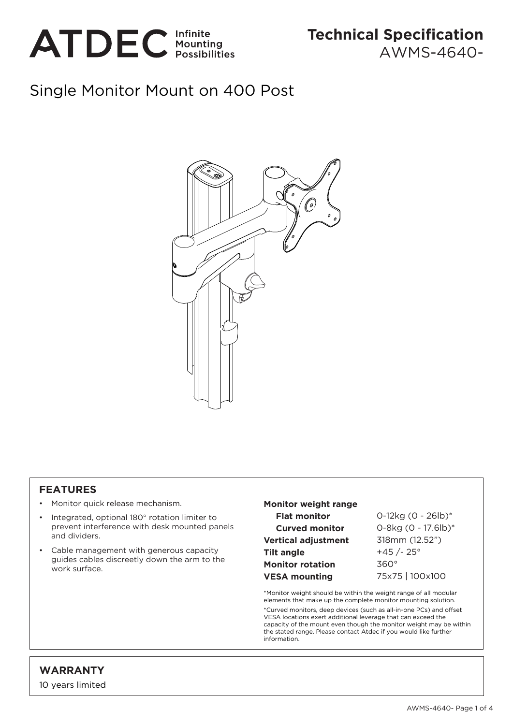

# Single Monitor Mount on 400 Post



### **FEATURES**

- Monitor quick release mechanism.
- Integrated, optional 180° rotation limiter to prevent interference with desk mounted panels and dividers.
- Cable management with generous capacity guides cables discreetly down the arm to the work surface.

#### **Monitor weight range Flat monitor Curved monitor Vertical adjustment Tilt angle Monitor rotation VESA mounting**

0-12kg (0 - 26lb)\* 0-8kg (0 - 17.6lb)\* 318mm (12.52") +45 /- 25° 360° 75x75 | 100x100

\*Monitor weight should be within the weight range of all modular elements that make up the complete monitor mounting solution. \*Curved monitors, deep devices (such as all-in-one PCs) and offset VESA locations exert additional leverage that can exceed the capacity of the mount even though the monitor weight may be within the stated range. Please contact Atdec if you would like further information.

## **WARRANTY**

10 years limited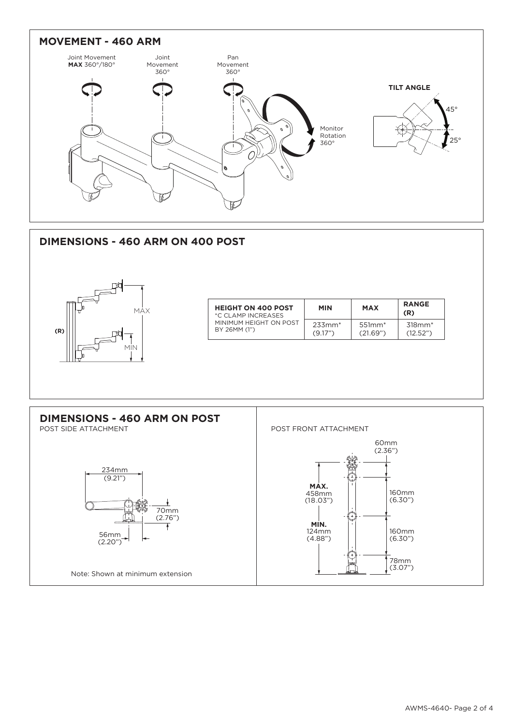

### **DIMENSIONS - 460 ARM ON 400 POST**



| <b>HEIGHT ON 400 POST</b><br>*C CLAMP INCREASES<br>MINIMUM HEIGHT ON POST<br>BY 26MM (1") | <b>MIN</b>               | <b>MAX</b>           | <b>RANGE</b><br>(R)      |
|-------------------------------------------------------------------------------------------|--------------------------|----------------------|--------------------------|
|                                                                                           | $23.3$ mm $*$<br>(9.17") | $551mm*$<br>(21.69") | $318$ mm $*$<br>(12.52") |

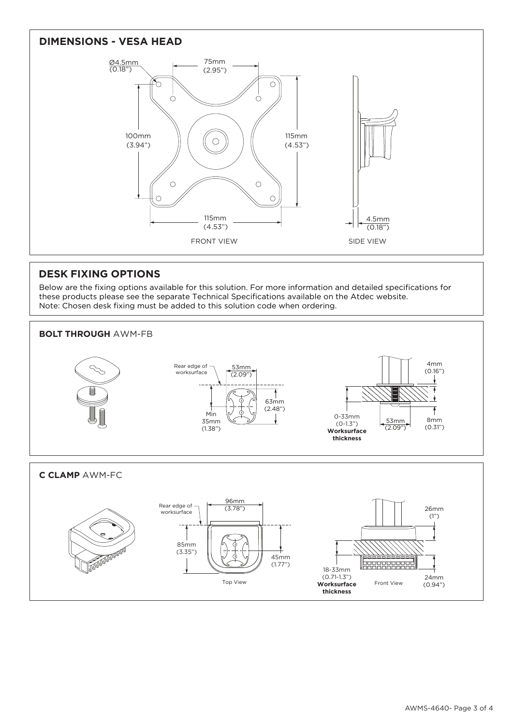

### **DESK FIXING OPTIONS**

Below are the fixing options available for this solution. For more information and detailed specifications for these products please see the separate Technical Specifications available on the Atdec website. Note: Chosen desk fixing must be added to this solution code when ordering.